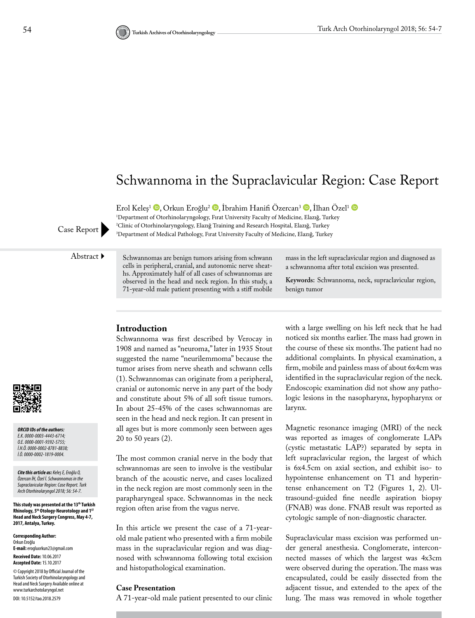# Schwannoma in the Supraclavicular Region: Case Report

Erol Keles<sup>1</sup> **D**[,](http://orcid.org/0000-0001-9392-5755) Orkun Eroğlu<sup>2</sup> **D**[,](http://orcid.org/0000-0002-8781-8838) İbrahim Hanifi Özercan<sup>3</sup> **D**, İlhan Özel<sup>1</sup> **D** 

1 Department of Otorhinolaryngology, Fırat University Faculty of Medicine, Elazığ, Turkey 2 Clinic of Otorhinolaryngology, Elazığ Training and Research Hospital, Elazığ, Turkey Case Report **Department of Medical Pathology, Firat University Faculty of Medicine, Elazığ, Turkey** 

Abstract Schwannomas are benign tumors arising from schwann cells in peripheral, cranial, and autonomic nerve sheaths. Approximately half of all cases of schwannomas are observed in the head and neck region. In this study, a 71-year-old male patient presenting with a stiff mobile

mass in the left supraclavicular region and diagnosed as a schwannoma after total excision was presented.

**Keywords:** Schwannoma, neck, supraclavicular region, benign tumor

#### **Introduction**

Schwannoma was first described by Verocay in 1908 and named as "neuroma," later in 1935 Stout suggested the name "neurilemmoma" because the tumor arises from nerve sheath and schwann cells (1). Schwannomas can originate from a peripheral, cranial or autonomic nerve in any part of the body and constitute about 5% of all soft tissue tumors. In about 25-45% of the cases schwannomas are seen in the head and neck region. It can present in all ages but is more commonly seen between ages 20 to 50 years (2).

The most common cranial nerve in the body that schwannomas are seen to involve is the vestibular branch of the acoustic nerve, and cases localized in the neck region are most commonly seen in the parapharyngeal space. Schwannomas in the neck region often arise from the vagus nerve.

In this article we present the case of a 71-yearold male patient who presented with a firm mobile mass in the supraclavicular region and was diagnosed with schwannoma following total excision and histopathological examination.

#### **Case Presentation**

A 71-year-old male patient presented to our clinic

with a large swelling on his left neck that he had noticed six months earlier. The mass had grown in the course of these six months. The patient had no additional complaints. In physical examination, a firm, mobile and painless mass of about 6x4cm was identified in the supraclavicular region of the neck. Endoscopic examination did not show any pathologic lesions in the nasopharynx, hypopharynx or larynx.

Magnetic resonance imaging (MRI) of the neck was reported as images of conglomerate LAPs (cystic metastatic LAP?) separated by septa in left supraclavicular region, the largest of which is 6x4.5cm on axial section, and exhibit iso- to hypointense enhancement on T1 and hyperintense enhancement on T2 (Figures 1, 2). Ultrasound-guided fine needle aspiration biopsy (FNAB) was done. FNAB result was reported as cytologic sample of non-diagnostic character.

Supraclavicular mass excision was performed under general anesthesia. Conglomerate, interconnected masses of which the largest was 4x3cm were observed during the operation. The mass was encapsulated, could be easily dissected from the adjacent tissue, and extended to the apex of the lung. The mass was removed in whole together



*ORCID IDs of the authors: E.K. 0000-0003-4443-6714; O.E. 0000-0001-9392-5755; İ.H.Ö. 0000-0002-8781-8838; İ.Ö. 0000-0002-1819-0004.*

*Cite this article as: Keleş E, Eroğlu O, Özercan İH, Özel İ. Schwannomas in the Supraclavicular Region: Case Report. Turk Arch Otorhinolaryngol 2018; 56: 54-7.*

**This study was presented at the 13th Turkish Rhinology, 5th Otology-Neurotology and 1ST Head and Neck Surgery Congress, May 4-7, 2017, Antalya, Turkey.**

**Corresponding Author:**  Orkun Eroğlu **E-mail:** erogluorkun23@gmail.com **Received Date:** 10.06.2017 **Accepted Date:** 15.10.2017 © Copyright 2018 by Official Journal of the Turkish Society of Otorhinolaryngology and Head and Neck Surgery Available online at www.turkarchotolaryngol.net DOI: 10.5152/tao.2018.2579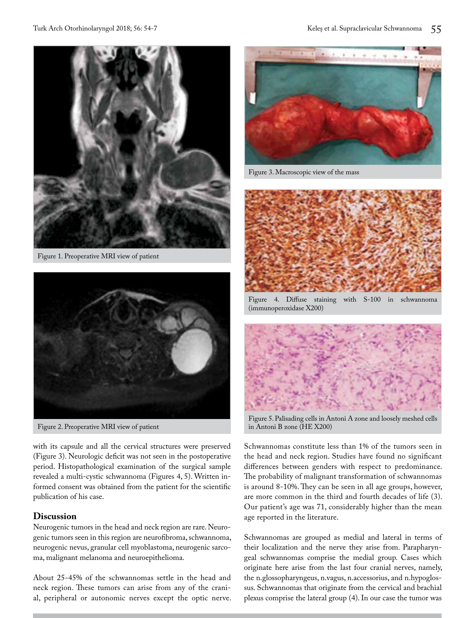

Figure 1. Preoperative MRI view of patient



Figure 2. Preoperative MRI view of patient

with its capsule and all the cervical structures were preserved (Figure 3). Neurologic deficit was not seen in the postoperative period. Histopathological examination of the surgical sample revealed a multi-cystic schwannoma (Figures 4, 5). Written informed consent was obtained from the patient for the scientific publication of his case.

## **Discussion**

Neurogenic tumors in the head and neck region are rare. Neurogenic tumors seen in this region are neurofibroma, schwannoma, neurogenic nevus, granular cell myoblastoma, neurogenic sarcoma, malignant melanoma and neuroepithelioma.

About 25-45% of the schwannomas settle in the head and neck region. These tumors can arise from any of the cranial, peripheral or autonomic nerves except the optic nerve.



Figure 3. Macroscopic view of the mass



Figure 4. Diffuse staining with S-100 in schwannoma (immunoperoxidase X200)



Figure 5. Palisading cells in Antoni A zone and loosely meshed cells in Antoni B zone (HE X200)

Schwannomas constitute less than 1% of the tumors seen in the head and neck region. Studies have found no significant differences between genders with respect to predominance. The probability of malignant transformation of schwannomas is around 8-10%. They can be seen in all age groups, however, are more common in the third and fourth decades of life (3). Our patient's age was 71, considerably higher than the mean age reported in the literature.

Schwannomas are grouped as medial and lateral in terms of their localization and the nerve they arise from. Parapharyngeal schwannomas comprise the medial group. Cases which originate here arise from the last four cranial nerves, namely, the n.glossopharyngeus, n.vagus, n.accessorius, and n.hypoglossus. Schwannomas that originate from the cervical and brachial plexus comprise the lateral group (4). In our case the tumor was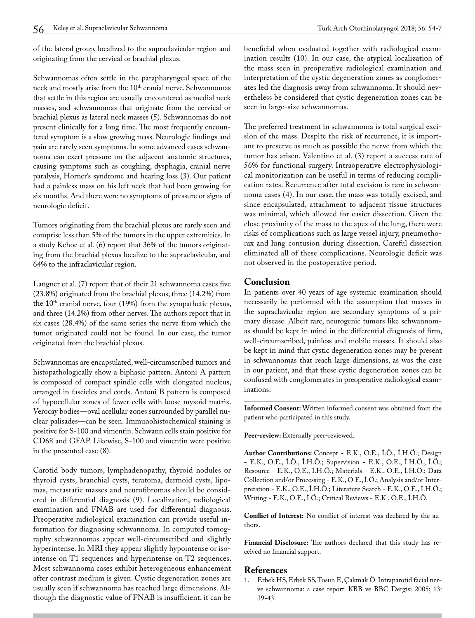of the lateral group, localized to the supraclavicular region and originating from the cervical or brachial plexus.

Schwannomas often settle in the parapharyngeal space of the neck and mostly arise from the 10<sup>th</sup> cranial nerve. Schwannomas that settle in this region are usually encountered as medial neck masses, and schwannomas that originate from the cervical or brachial plexus as lateral neck masses (5). Schwannomas do not present clinically for a long time. The most frequently encountered symptom is a slow growing mass. Neurologic findings and pain are rarely seen symptoms. In some advanced cases schwannoma can exert pressure on the adjacent anatomic structures, causing symptoms such as coughing, dysphagia, cranial nerve paralysis, Horner's syndrome and hearing loss (3). Our patient had a painless mass on his left neck that had been growing for six months. And there were no symptoms of pressure or signs of neurologic deficit.

Tumors originating from the brachial plexus are rarely seen and comprise less than 5% of the tumors in the upper extremities. In a study Kehoe et al. (6) report that 36% of the tumors originating from the brachial plexus localize to the supraclavicular, and 64% to the infraclavicular region.

Langner et al. (7) report that of their 21 schwannoma cases five (23.8%) originated from the brachial plexus, three (14.2%) from the  $10<sup>th</sup>$  cranial nerve, four (19%) from the sympathetic plexus, and three (14.2%) from other nerves. The authors report that in six cases (28.4%) of the same series the nerve from which the tumor originated could not be found. In our case, the tumor originated from the brachial plexus.

Schwannomas are encapsulated, well-circumscribed tumors and histopathologically show a biphasic pattern. Antoni A pattern is composed of compact spindle cells with elongated nucleus, arranged in fascicles and cords. Antoni B pattern is composed of hypocellular zones of fewer cells with loose myxoid matrix. Verocay bodies—oval acellular zones surrounded by parallel nuclear palisades—can be seen. Immunohistochemical staining is positive for S-100 and vimentin. Schwann cells stain positive for CD68 and GFAP. Likewise, S-100 and vimentin were positive in the presented case (8).

Carotid body tumors, lymphadenopathy, thyroid nodules or thyroid cysts, branchial cysts, teratoma, dermoid cysts, lipomas, metastatic masses and neurofibromas should be considered in differential diagnosis (9). Localization, radiological examination and FNAB are used for differential diagnosis. Preoperative radiological examination can provide useful information for diagnosing schwannoma. In computed tomography schwannomas appear well-circumscribed and slightly hyperintense. In MRI they appear slightly hypointense or isointense on T1 sequences and hyperintense on T2 sequences. Most schwannoma cases exhibit heterogeneous enhancement after contrast medium is given. Cystic degeneration zones are usually seen if schwannoma has reached large dimensions. Although the diagnostic value of FNAB is insufficient, it can be beneficial when evaluated together with radiological examination results (10). In our case, the atypical localization of the mass seen in preoperative radiological examination and interpretation of the cystic degeneration zones as conglomerates led the diagnosis away from schwannoma. It should nevertheless be considered that cystic degeneration zones can be seen in large-size schwannomas.

The preferred treatment in schwannoma is total surgical excision of the mass. Despite the risk of recurrence, it is important to preserve as much as possible the nerve from which the tumor has arisen. Valentino et al. (3) report a success rate of 56% for functional surgery. Intraoperative electrophysiological monitorization can be useful in terms of reducing complication rates. Recurrence after total excision is rare in schwannoma cases (4). In our case, the mass was totally excised, and since encapsulated, attachment to adjacent tissue structures was minimal, which allowed for easier dissection. Given the close proximity of the mass to the apex of the lung, there were risks of complications such as large vessel injury, pneumothorax and lung contusion during dissection. Careful dissection eliminated all of these complications. Neurologic deficit was not observed in the postoperative period.

## **Conclusion**

In patients over 40 years of age systemic examination should necessarily be performed with the assumption that masses in the supraclavicular region are secondary symptoms of a primary disease. Albeit rare, neurogenic tumors like schwannomas should be kept in mind in the differential diagnosis of firm, well-circumscribed, painless and mobile masses. It should also be kept in mind that cystic degeneration zones may be present in schwannomas that reach large dimensions, as was the case in our patient, and that these cystic degeneration zones can be confused with conglomerates in preoperative radiological examinations.

**Informed Consent:** Written informed consent was obtained from the patient who participated in this study.

Peer-review: Externally peer-reviewed.

**Author Contributions:** Concept - E.K., O.E., İ.Ö., İ.H.Ö.; Design - E.K., O.E., İ.Ö., İ.H.Ö.; Supervision - E.K., O.E., İ.H.Ö., İ.Ö.; Resource - E.K., O.E., İ.H.Ö.; Materials - E.K., O.E., İ.H.Ö.; Data Collection and/or Processing - E.K., O.E., İ.Ö.; Analysis and/or Interpretation - E.K., O.E., İ.H.Ö.; Literature Search - E.K., O.E., İ.H.Ö.; Writing - E.K., O.E., İ.Ö.; Critical Reviews - E.K., O.E., İ.H.Ö.

**Conflict of Interest:** No conflict of interest was declared by the authors.

**Financial Disclosure:** The authors declared that this study has received no financial support.

## **References**

1. Erbek HS, Erbek SS, Tosun E, Çakmak Ö. Intraparotid facial nerve schwannoma: a case report. KBB ve BBC Dergisi 2005; 13: 39-43.